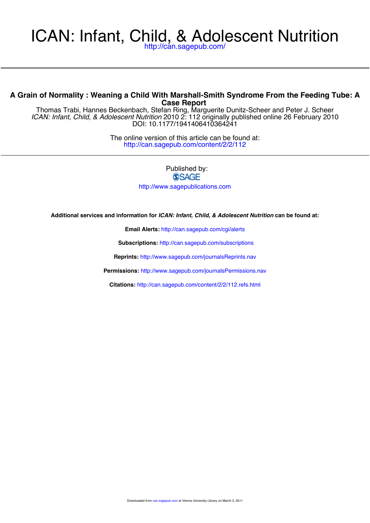## ICAN: Infant, Child, & Adolescent Nutrition

http://can.sagepub.com/

#### **Case Report A Grain of Normality : Weaning a Child With Marshall-Smith Syndrome From the Feeding Tube: A**

DOI: 10.1177/1941406410364241 *ICAN: Infant, Child, & Adolescent Nutrition* 2010 2: 112 originally published online 26 February 2010 Thomas Trabi, Hannes Beckenbach, Stefan Ring, Marguerite Dunitz-Scheer and Peter J. Scheer

> http://can.sagepub.com/content/2/2/112 The online version of this article can be found at:

> > Published by:<br>
> > SAGE http://www.sagepublications.com

**Additional services and information for** *ICAN: Infant, Child, & Adolescent Nutrition* **can be found at:**

**Email Alerts:** http://can.sagepub.com/cgi/alerts

**Subscriptions:** http://can.sagepub.com/subscriptions

**Reprints:** http://www.sagepub.com/journalsReprints.nav

**Permissions:** http://www.sagepub.com/journalsPermissions.nav

**Citations:** http://can.sagepub.com/content/2/2/112.refs.html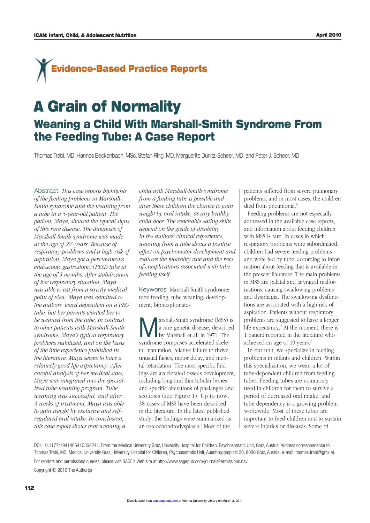# Evidence-Based Practice Reports

## A Grain of Normality Weaning a Child With Marshall-Smith Syndrome From the Feeding Tube: A Case Report

Thomas Trabi, MD, Hannes Beckenbach, MSc, Stefan Ring, MD, Marguerite Dunitz-Scheer, MD, and Peter J. Scheer, MD

Abstract: *This case reports highlights of the feeding problems in Marshall-Smith syndrome and the weaning from a tube in a 5-year-old patient. The patient, Maya, showed the typical signs of this rare disease. The diagnosis of Marshall-Smith syndrome was made at the age of 2½ years. Because of respiratory problems and a high risk of aspiration, Maya got a percutaneous endoscopic gastrostomy (PEG) tube at the age of 5 months. After stabilization of her respiratory situation, Maya was able to eat from a strictly medical point of view. Maya was admitted to the authors' ward dependent on a PEG tube, but her parents wanted her to be weaned from the tube. In contrast to other patients with Marshall-Smith syndrome, Maya's typical respiratory problems stabilized, and on the basis of the little experience published in the literature, Maya seems to have a relatively good life expectancy. After careful analysis of her medical state, Maya was integrated into the specialized tube-weaning program. Tube weaning was successful, and after 3 weeks of treatment, Maya was able to gain weight by exclusive and selfregulated oral intake. In conclusion, this case report shows that weaning a* 

*child with Marshall-Smith syndrome from a feeding tube is possible and gives these children the chance to gain weight by oral intake, as any healthy child does. The reachable eating skills depend on the grade of disability. In the authors' clinical experience, weaning from a tube shows a positive effect on psychomotor development and reduces the mortality rate and the rate of complications associated with tube feeding itself.*

Keywords: Marshall-Smith syndrome; tube feeding; tube weaning; development; biphosphonates

**Marshall-Smith syndrome (MSS) is**<br>a rare genetic disease, described<br>by Marshall et al<sup>1</sup> in 1971. The a rare genetic disease, described syndrome comprises accelerated skeletal maturation, relative failure to thrive, unusual facies, motor delay, and mental retardation. The most specific findings are accelerated osseus development, including long and thin tubular bones and specific alterations of phalanges and scoliosis (see Figure 1). Up to now, 38 cases of MSS have been described in the literature. In the latest published study, the findings were summarized as an osteochondrodysplasia.2 Most of the

patients suffered from severe pulmonary problems, and in most cases, the children died from pneumonia.3

Feeding problems are not especially addressed in the available case reports, and information about feeding children with MSS is rare. In cases in which respiratory problems were subordinated, children had severe feeding problems and were fed by tube, according to information about feeding that is available in the present literature. The main problems in MSS are palatal and laryngeal malformations, causing swallowing problems and dysphagia. The swallowing dysfunctions are associated with a high risk of aspiration. Patients without respiratory problems are suggested to have a longer life expectancy.<sup>4</sup> At the moment, there is 1 patient reported in the literature who achieved an age of 19 years.<sup>2</sup>

In our unit, we specialize in feeding problems in infants and children. Within this specialization, we wean a lot of tube-dependent children from feeding tubes. Feeding tubes are commonly used in children for them to survive a period of decreased oral intake, and tube dependency is a growing problem worldwide. Most of these tubes are important to feed children and to sustain severe injuries or diseases. Some of

DOI: 10.1177/1941406410364241. From the Medical University Graz, University Hospital for Children, Psychosomatic Unit, Graz, Austria. Address correspondence to Thomas Trabi, MD, Medical University Graz, University Hospital for Children, Psychosomatic Unit, Auenbruggerplatz 30, 8036 Graz, Austria; e-mail: thomas.trabi@gmx.at. For reprints and permissions queries, please visit SAGE's Web site at http://www.sagepub.com/journalsPermissions.nav.

Copyright © 2010 The Author(s)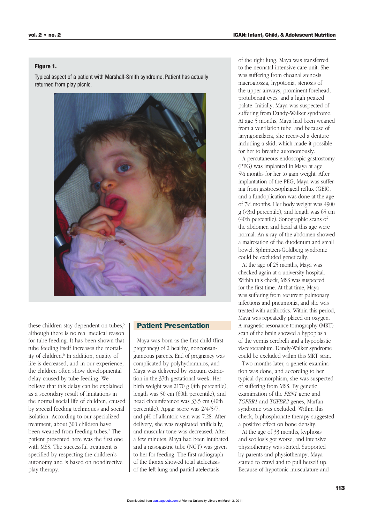#### Figure 1.

Typical aspect of a patient with Marshall-Smith syndrome. Patient has actually returned from play picnic.



these children stay dependent on tubes,<sup>5</sup> although there is no real medical reason for tube feeding. It has been shown that tube feeding itself increases the mortality of children.<sup>6</sup> In addition, quality of life is decreased, and in our experience, the children often show developmental delay caused by tube feeding. We believe that this delay can be explained as a secondary result of limitations in the normal social life of children, caused by special feeding techniques and social isolation. According to our specialized treatment, about 300 children have been weaned from feeding tubes.7 The patient presented here was the first one with MSS. The successful treatment is specified by respecting the children's autonomy and is based on nondirective play therapy.

#### Patient Presentation

Maya was born as the first child (first pregnancy) of 2 healthy, nonconsanguineous parents. End of pregnancy was complicated by polyhydramnios, and Maya was delivered by vacuum extraction in the 37th gestational week. Her birth weight was 2170 g (4th percentile), length was 50 cm (60th percentile), and head circumference was 33.5 cm (40th percentile). Apgar score was 2/4/5/7, and pH of allantoic vein was 7.28. After delivery, she was respirated artificially, and muscular tone was decreased. After a few minutes, Maya had been intubated, and a nasogastric tube (NGT) was given to her for feeding. The first radiograph of the thorax showed total atelectasis of the left lung and partial atelectasis

of the right lung. Maya was transferred to the neonatal intensive care unit. She was suffering from choanal stenosis, macroglossia, hypotonia, stenosis of the upper airways, prominent forehead, protuberant eyes, and a high peaked palate. Initially, Maya was suspected of suffering from Dandy-Walker syndrome. At age 5 months, Maya had been weaned from a ventilation tube, and because of laryngomalacia, she received a denture including a skid, which made it possible for her to breathe autonomously.

A percutaneous endoscopic gastrostomy (PEG) was implanted in Maya at age 5½ months for her to gain weight. After implantation of the PEG, Maya was suffering from gastroesophageal reflux (GER), and a fundoplication was done at the age of 7½ months. Her body weight was 4900 g (<3rd percentile), and length was 65 cm (40th percentile). Sonographic scans of the abdomen and head at this age were normal. An x-ray of the abdomen showed a malrotation of the duodenum and small bowel. Sphrintzen-Goldberg syndrome could be excluded genetically.

At the age of 25 months, Maya was checked again at a university hospital. Within this check, MSS was suspected for the first time. At that time, Maya was suffering from recurrent pulmonary infections and pneumonia, and she was treated with antibiotics. Within this period, Maya was repeatedly placed on oxygen. A magnetic resonance tomography (MRT) scan of the brain showed a hypoplasia of the vermis cerebelli and a hypoplastic viscerocranium. Dandy-Walker syndrome could be excluded within this MRT scan.

Two months later, a genetic examination was done, and according to her typical dysmorphism, she was suspected of suffering from MSS. By genetic examination of the *FBN1* gene and *TGFBR1* and *TGFBR2* genes, Marfan syndrome was excluded. Within this check, biphosphonate therapy suggested a positive effect on bone density.

At the age of 33 months, kyphosis and scoliosis got worse, and intensive physiotherapy was started. Supported by parents and physiotherapy, Maya started to crawl and to pull herself up. Because of hypotonic musculature and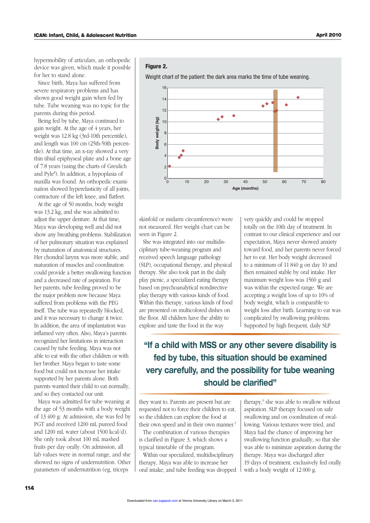hypermobility of articulars, an orthopedic device was given, which made it possible for her to stand alone.

Since birth, Maya has suffered from severe respiratory problems and has shown good weight gain when fed by tube. Tube weaning was no topic for the parents during this period.

Being fed by tube, Maya continued to gain weight. At the age of 4 years, her weight was 12.8 kg (3rd-10th percentile), and length was 100 cm (25th-50th percentile). At that time, an x-ray showed a very thin tibial epiphyseal plate and a bone age of 7.8 years (using the charts of Greulich and Pyle<sup>8</sup>). In addition, a hypoplasia of maxilla was found. An orthopedic examination showed hyperelasticity of all joints, contracture of the left knee, and flatfeet.

At the age of 50 months, body weight was 13.2 kg, and she was admitted to adjust the upper denture. At that time, Maya was developing well and did not show any breathing problems. Stabilization of her pulmonary situation was explained by maturation of anatomical structures. Her chondral larynx was more stable, and maturation of muscles and coordination could provide a better swallowing function and a decreased rate of aspiration. For her parents, tube feeding proved to be the major problem now because Maya suffered from problems with the PEG itself. The tube was repeatedly blocked, and it was necessary to change it twice. In addition, the area of implantation was inflamed very often. Also, Maya's parents recognized her limitations in interaction caused by tube feeding. Maya was not able to eat with the other children or with her brother. Maya began to taste some food but could not increase her intake supported by her parents alone. Both parents wanted their child to eat normally, and so they contacted our unit.

Maya was admitted for tube weaning at the age of 53 months with a body weight of 13 400 g. At admission, she was fed by PGT and received 1200 mL pureed food and 1200 mL water (about 1500 kcal/d). She only took about 100 mL mashed fruits per day orally. On admission, all lab values were in normal range, and she showed no signs of undernutrition. Other parameters of undernutrition (eg, triceps

#### Figure 2.

Weight chart of the patient: the dark area marks the time of tube weaning.



skinfold or midarm circumference) were not measured. Her weight chart can be seen in Figure 2.

She was integrated into our multidisciplinary tube-weaning program and received speech language pathology (SLP), occupational therapy, and physical therapy. She also took part in the daily play picnic, a specialized eating therapy based on psychoanalytical nondirective play therapy with various kinds of food. Within this therapy, various kinds of food are presented on multicolored dishes on the floor. All children have the ability to explore and taste the food in the way

very quickly and could be stopped totally on the 10th day of treatment. In contrast to our clinical experience and our expectation, Maya never showed anxiety toward food, and her parents never forced her to eat. Her body weight decreased to a minimum of 11 840 g on day 10 and then remained stable by oral intake. Her maximum weight loss was 1560 g and was within the expected range. We are accepting a weight loss of up to 10% of body weight, which is comparable to weight loss after birth. Learning to eat was complicated by swallowing problems. Supported by high frequent, daily SLP

### **"If a child with MSS or any other severe disability is fed by tube, this situation should be examined very carefully, and the possibility for tube weaning should be clarified"**

they want to. Parents are present but are requested not to force their children to eat, so the children can explore the food at their own speed and in their own manner.<sup>5</sup>

The combination of various therapies is clarified in Figure 3, which shows a typical timetable of the program.

Within our specialized, multidisciplinary therapy, Maya was able to increase her oral intake, and tube feeding was dropped

therapy,<sup>9</sup> she was able to swallow without aspiration. SLP therapy focused on safe swallowing and on coordination of swallowing. Various textures were tried, and Maya had the chance of improving her swallowing function gradually, so that she was able to minimize aspiration during the therapy. Maya was discharged after 19 days of treatment, exclusively fed orally with a body weight of 12 000 g.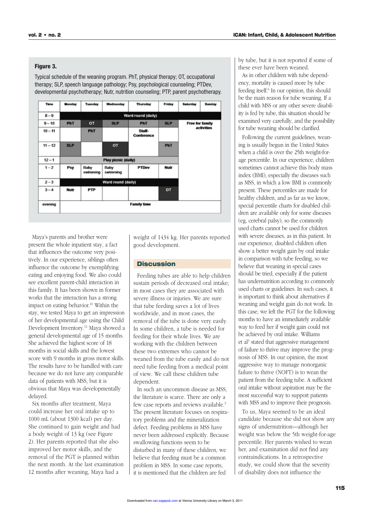#### Figure 3.

Typical schedule of the weaning program. PhT, physical therapy; OT, occupational therapy; SLP, speech language pathology; Psy, psychological counseling; PTDev, developmental psychotherapy; Nutr, nutrition counseling; PTP, parent psychotherapy.



Maya's parents and brother were present the whole inpatient stay, a fact that influences the outcome very positively. In our experience, siblings often influence the outcome by exemplifying eating and enjoying food. We also could see excellent parent-child interaction in this family. It has been shown in former works that the interaction has a strong impact on eating behavior.10 Within the stay, we tested Maya to get an impression of her developmental age using the Child Development Inventory.11 Maya showed a general developmental age of 15 months. She achieved the highest score of 18 months in social skills and the lowest score with 9 months in gross motor skills. The results have to be handled with care because we do not have any comparable data of patients with MSS, but it is obvious that Maya was developmentally delayed.

Six months after treatment, Maya could increase her oral intake up to 1000 mL (about 1300 kcal) per day. She continued to gain weight and had a body weight of 13 kg (see Figure 2). Her parents reported that she also improved her motor skills, and the removal of the PGT is planned within the next month. At the last examination 12 months after weaning, Maya had a

weight of 1434 kg. Her parents reported good development.

#### **Discussion**

Feeding tubes are able to help children sustain periods of decreased oral intake; in most cases they are associated with severe illness or injuries. We are sure that tube feeding saves a lot of lives worldwide, and in most cases, the removal of the tube is done very easily. In some children, a tube is needed for feeding for their whole lives. We are working with the children between these two extremes who cannot be weaned from the tube easily and do not need tube feeding from a medical point of view. We call these children tube dependent.

In such an uncommon disease as MSS, the literature is scarce. There are only a few case reports and reviews available.<sup>2</sup> The present literature focuses on respiratory problems and the mineralization defect. Feeding problems in MSS have never been addressed explicitly. Because swallowing functions seem to be disturbed in many of these children, we believe that feeding must be a common problem in MSS. In some case reports, it is mentioned that the children are fed

by tube, but it is not reported if some of these ever have been weaned.

As in other children with tube dependency, mortality is caused more by tube feeding itself.<sup>6</sup> In our opinion, this should be the main reason for tube weaning. If a child with MSS or any other severe disability is fed by tube, this situation should be examined very carefully, and the possibility for tube weaning should be clarified.

Following the current guidelines, weaning is usually begun in the United States when a child is over the 25th weight-forage percentile. In our experience, children sometimes cannot achieve this body mass index (BMI), especially the diseases such as MSS, in which a low BMI is commonly present. These percentiles are made for healthy children, and as far as we know, special percentile charts for disabled children are available only for some diseases (eg, cerebral palsy), so the commonly used charts cannot be used for children with severe diseases, as in this patient. In our experience, disabled children often show a better weight gain by oral intake in comparison with tube feeding, so we believe that weaning in special cases should be tried, especially if the patient has undernutrition according to commonly used charts or guidelines. In such cases, it is important to think about alternatives if weaning and weight gain do not work. In this case, we left the PGT for the following months to have an immediately available way to feed her if weight gain could not be achieved by oral intake. Williams et al<sup>3</sup> stated that aggressive management of failure to thrive may improve the prognosis of MSS. In our opinion, the most aggressive way to manage nonorganic failure to thrive (NOFT) is to wean the patient from the feeding tube. A sufficient oral intake without aspiration may be the most successful way to support patients with MSS and to improve their prognosis.

To us, Maya seemed to be an ideal candidate because she did not show any signs of undernutrition—although her weight was below the 5th weight-for-age percentile. Her parents wished to wean her, and examination did not find any contraindications. In a retrospective study, we could show that the severity of disability does not influence the